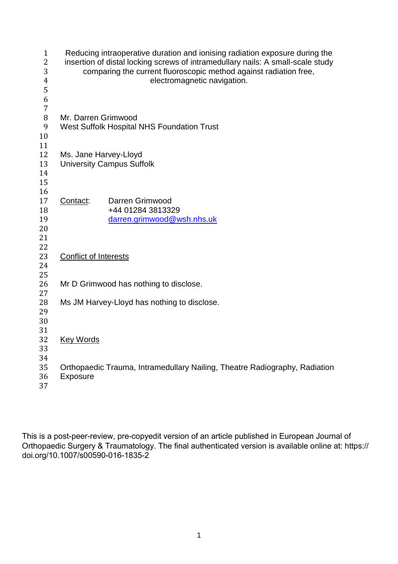| $\mathbf{1}$<br>$\overline{2}$<br>3<br>$\overline{\mathbf{4}}$<br>5<br>6<br>7 |                                            | Reducing intraoperative duration and ionising radiation exposure during the<br>insertion of distal locking screws of intramedullary nails: A small-scale study<br>comparing the current fluoroscopic method against radiation free,<br>electromagnetic navigation. |  |
|-------------------------------------------------------------------------------|--------------------------------------------|--------------------------------------------------------------------------------------------------------------------------------------------------------------------------------------------------------------------------------------------------------------------|--|
| $\, 8$                                                                        | Mr. Darren Grimwood                        |                                                                                                                                                                                                                                                                    |  |
| 9                                                                             | West Suffolk Hospital NHS Foundation Trust |                                                                                                                                                                                                                                                                    |  |
| 10                                                                            |                                            |                                                                                                                                                                                                                                                                    |  |
| 11                                                                            |                                            |                                                                                                                                                                                                                                                                    |  |
| 12<br>13                                                                      | Ms. Jane Harvey-Lloyd                      |                                                                                                                                                                                                                                                                    |  |
| 14                                                                            | <b>University Campus Suffolk</b>           |                                                                                                                                                                                                                                                                    |  |
| 15                                                                            |                                            |                                                                                                                                                                                                                                                                    |  |
| 16                                                                            |                                            |                                                                                                                                                                                                                                                                    |  |
| 17                                                                            | Contact:                                   | Darren Grimwood                                                                                                                                                                                                                                                    |  |
| 18                                                                            |                                            | +44 01284 3813329                                                                                                                                                                                                                                                  |  |
| 19                                                                            |                                            | darren.grimwood@wsh.nhs.uk                                                                                                                                                                                                                                         |  |
| 20                                                                            |                                            |                                                                                                                                                                                                                                                                    |  |
| 21                                                                            |                                            |                                                                                                                                                                                                                                                                    |  |
| 22                                                                            |                                            |                                                                                                                                                                                                                                                                    |  |
| 23<br>24                                                                      | <b>Conflict of Interests</b>               |                                                                                                                                                                                                                                                                    |  |
| 25                                                                            |                                            |                                                                                                                                                                                                                                                                    |  |
| 26                                                                            |                                            | Mr D Grimwood has nothing to disclose.                                                                                                                                                                                                                             |  |
| 27                                                                            |                                            |                                                                                                                                                                                                                                                                    |  |
| 28                                                                            |                                            | Ms JM Harvey-Lloyd has nothing to disclose.                                                                                                                                                                                                                        |  |
| 29                                                                            |                                            |                                                                                                                                                                                                                                                                    |  |
| 30                                                                            |                                            |                                                                                                                                                                                                                                                                    |  |
| 31                                                                            |                                            |                                                                                                                                                                                                                                                                    |  |
| 32                                                                            | <b>Key Words</b>                           |                                                                                                                                                                                                                                                                    |  |
| 33                                                                            |                                            |                                                                                                                                                                                                                                                                    |  |
| 34<br>35                                                                      |                                            | Orthopaedic Trauma, Intramedullary Nailing, Theatre Radiography, Radiation                                                                                                                                                                                         |  |
| 36<br>37                                                                      | <b>Exposure</b>                            |                                                                                                                                                                                                                                                                    |  |

This is a post-peer-review, pre-copyedit version of an article published in European Journal of Orthopaedic Surgery & Traumatology. The final authenticated version is available online at: https:// doi.org/10.1007/s00590-016-1835-2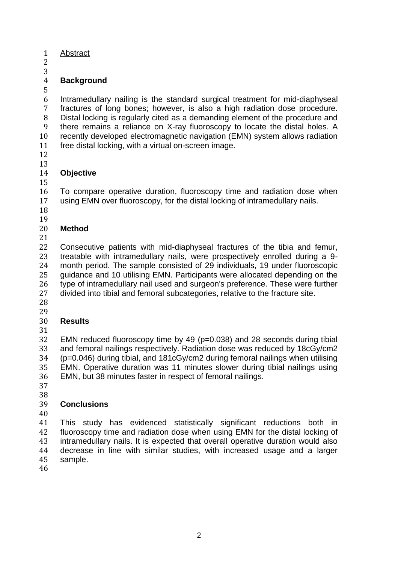- Abstract
- 
- 

## **Background**

 Intramedullary nailing is the standard surgical treatment for mid-diaphyseal fractures of long bones; however, is also a high radiation dose procedure. Distal locking is regularly cited as a demanding element of the procedure and there remains a reliance on X-ray fluoroscopy to locate the distal holes. A recently developed electromagnetic navigation (EMN) system allows radiation free distal locking, with a virtual on-screen image.

- 
- 

#### **Objective**

 To compare operative duration, fluoroscopy time and radiation dose when using EMN over fluoroscopy, for the distal locking of intramedullary nails.

- 
- 

## **Method**

 Consecutive patients with mid-diaphyseal fractures of the tibia and femur, treatable with intramedullary nails, were prospectively enrolled during a 9- month period. The sample consisted of 29 individuals, 19 under fluoroscopic guidance and 10 utilising EMN. Participants were allocated depending on the type of intramedullary nail used and surgeon's preference. These were further divided into tibial and femoral subcategories, relative to the fracture site.

# 

#### **Results**

 EMN reduced fluoroscopy time by 49 (p=0.038) and 28 seconds during tibial and femoral nailings respectively. Radiation dose was reduced by 18cGy/cm2 (p=0.046) during tibial, and 181cGy/cm2 during femoral nailings when utilising EMN. Operative duration was 11 minutes slower during tibial nailings using EMN, but 38 minutes faster in respect of femoral nailings.

 

## **Conclusions**

 This study has evidenced statistically significant reductions both in fluoroscopy time and radiation dose when using EMN for the distal locking of intramedullary nails. It is expected that overall operative duration would also decrease in line with similar studies, with increased usage and a larger sample.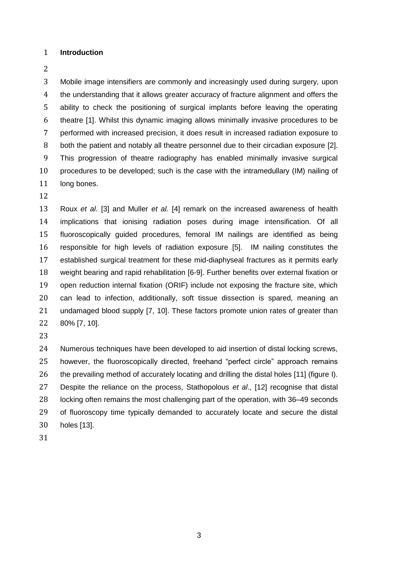#### **Introduction**

 Mobile image intensifiers are commonly and increasingly used during surgery, upon the understanding that it allows greater accuracy of fracture alignment and offers the ability to check the positioning of surgical implants before leaving the operating theatre [1]. Whilst this dynamic imaging allows minimally invasive procedures to be performed with increased precision, it does result in increased radiation exposure to both the patient and notably all theatre personnel due to their circadian exposure [2]. This progression of theatre radiography has enabled minimally invasive surgical procedures to be developed; such is the case with the intramedullary (IM) nailing of 11 long bones.

 Roux *et al*. [3] and Muller *et al.* [4] remark on the increased awareness of health implications that ionising radiation poses during image intensification. Of all fluoroscopically guided procedures, femoral IM nailings are identified as being responsible for high levels of radiation exposure [5]. IM nailing constitutes the established surgical treatment for these mid-diaphyseal fractures as it permits early weight bearing and rapid rehabilitation [6-9]. Further benefits over external fixation or open reduction internal fixation (ORIF) include not exposing the fracture site, which can lead to infection, additionally, soft tissue dissection is spared, meaning an undamaged blood supply [7, 10]. These factors promote union rates of greater than 80% [7, 10].

 Numerous techniques have been developed to aid insertion of distal locking screws, however, the fluoroscopically directed, freehand "perfect circle" approach remains the prevailing method of accurately locating and drilling the distal holes [11] (figure I). Despite the reliance on the process, Stathopolous *et al*., [12] recognise that distal locking often remains the most challenging part of the operation, with 36–49 seconds of fluoroscopy time typically demanded to accurately locate and secure the distal holes [13].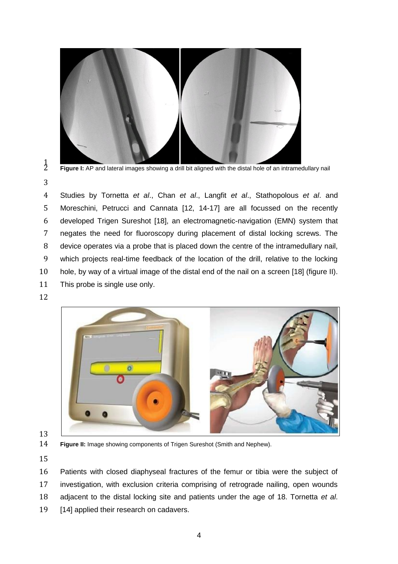

 $\frac{1}{2}$ 

Figure I: AP and lateral images showing a drill bit aligned with the distal hole of an intramedullary nail

 Studies by Tornetta *et al*., Chan *et al*., Langfit *et al*., Stathopolous *et al*. and Moreschini, Petrucci and Cannata [12, 14-17] are all focussed on the recently developed Trigen Sureshot [18], an electromagnetic-navigation (EMN) system that negates the need for fluoroscopy during placement of distal locking screws. The device operates via a probe that is placed down the centre of the intramedullary nail, which projects real-time feedback of the location of the drill, relative to the locking hole, by way of a virtual image of the distal end of the nail on a screen [18] (figure II). This probe is single use only.



**Figure II:** Image showing components of Trigen Sureshot (Smith and Nephew).

 Patients with closed diaphyseal fractures of the femur or tibia were the subject of investigation, with exclusion criteria comprising of retrograde nailing, open wounds adjacent to the distal locking site and patients under the age of 18. Tornetta *et al*. 19 [14] applied their research on cadavers.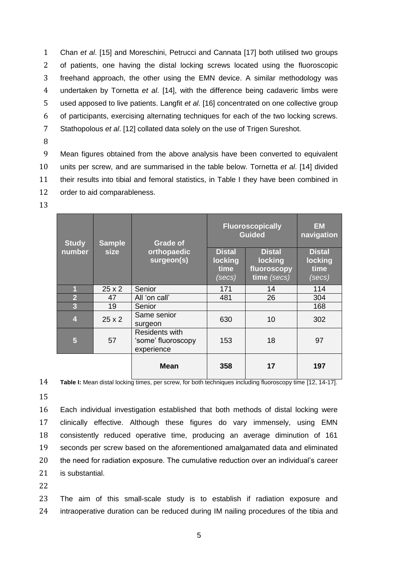Chan *et al*. [15] and Moreschini, Petrucci and Cannata [17] both utilised two groups of patients, one having the distal locking screws located using the fluoroscopic freehand approach, the other using the EMN device. A similar methodology was undertaken by Tornetta *et al*. [14], with the difference being cadaveric limbs were used apposed to live patients. Langfit *et al*. [16] concentrated on one collective group of participants, exercising alternating techniques for each of the two locking screws. Stathopolous *et al*. [12] collated data solely on the use of Trigen Sureshot.

8

 Mean figures obtained from the above analysis have been converted to equivalent units per screw, and are summarised in the table below. Tornetta *et al*. [14] divided their results into tibial and femoral statistics, in Table I they have been combined in order to aid comparableness.

13

| <b>Study</b>            | <b>Sample</b><br><b>size</b> | <b>Grade of</b><br>orthopaedic<br>surgeon(s)              | <b>Fluoroscopically</b><br><b>Guided</b>   |                                                               | <b>EM</b><br>navigation                    |
|-------------------------|------------------------------|-----------------------------------------------------------|--------------------------------------------|---------------------------------------------------------------|--------------------------------------------|
| number                  |                              |                                                           | <b>Distal</b><br>locking<br>time<br>(secs) | <b>Distal</b><br><b>locking</b><br>fluoroscopy<br>time (secs) | <b>Distal</b><br>locking<br>time<br>(secs) |
| 1                       | $25 \times 2$                | Senior                                                    | 171                                        | 14                                                            | 114                                        |
| $\overline{2}$          | 47                           | All 'on call'                                             | 481                                        | 26                                                            | 304                                        |
| 3                       | 19                           | Senior                                                    |                                            |                                                               | 168                                        |
| $\overline{\mathbf{4}}$ | $25 \times 2$                | Same senior<br>surgeon                                    | 630                                        | 10                                                            | 302                                        |
| 5                       | 57                           | <b>Residents with</b><br>'some' fluoroscopy<br>experience | 153                                        | 18                                                            | 97                                         |
|                         |                              | <b>Mean</b>                                               | 358                                        | 17                                                            | 197                                        |

14 **Table I:** Mean distal locking times, per screw, for both techniques including fluoroscopy time [12, 14-17].

15

 Each individual investigation established that both methods of distal locking were clinically effective. Although these figures do vary immensely, using EMN consistently reduced operative time, producing an average diminution of 161 seconds per screw based on the aforementioned amalgamated data and eliminated the need for radiation exposure. The cumulative reduction over an individual's career is substantial.

22

23 The aim of this small-scale study is to establish if radiation exposure and 24 intraoperative duration can be reduced during IM nailing procedures of the tibia and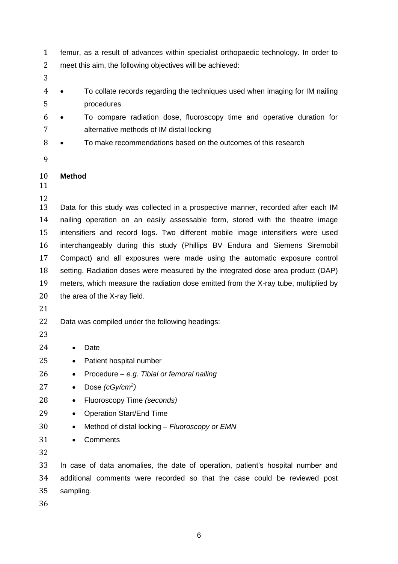- femur, as a result of advances within specialist orthopaedic technology. In order to meet this aim, the following objectives will be achieved:
- 
- 4 To collate records regarding the techniques used when imaging for IM nailing procedures
- To compare radiation dose, fluoroscopy time and operative duration for alternative methods of IM distal locking
- 8 To make recommendations based on the outcomes of this research
- 

## **Method**

 Data for this study was collected in a prospective manner, recorded after each IM nailing operation on an easily assessable form, stored with the theatre image intensifiers and record logs. Two different mobile image intensifiers were used interchangeably during this study (Phillips BV Endura and Siemens Siremobil Compact) and all exposures were made using the automatic exposure control setting. Radiation doses were measured by the integrated dose area product (DAP) meters, which measure the radiation dose emitted from the X-ray tube, multiplied by the area of the X-ray field.

Data was compiled under the following headings:

- 
- 24 Date
- 25 Patient hospital number
- Procedure *e.g. Tibial or femoral nailing*
- Dose *(cGy/cm<sup>2</sup> )*
- Fluoroscopy Time *(seconds)*
- 29 Operation Start/End Time
- Method of distal locking *Fluoroscopy or EMN*
- Comments
- 

 In case of data anomalies, the date of operation, patient's hospital number and additional comments were recorded so that the case could be reviewed post sampling.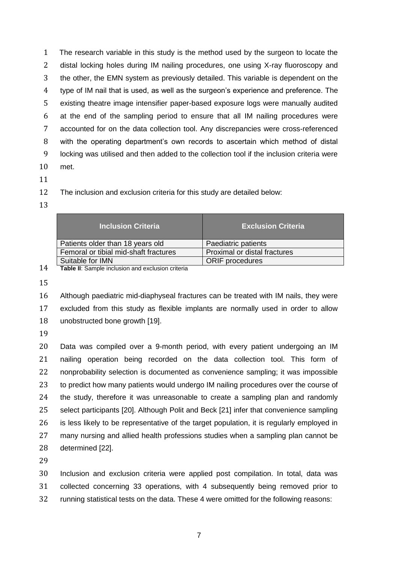The research variable in this study is the method used by the surgeon to locate the distal locking holes during IM nailing procedures, one using X-ray fluoroscopy and the other, the EMN system as previously detailed. This variable is dependent on the type of IM nail that is used, as well as the surgeon's experience and preference. The existing theatre image intensifier paper-based exposure logs were manually audited at the end of the sampling period to ensure that all IM nailing procedures were accounted for on the data collection tool. Any discrepancies were cross-referenced with the operating department's own records to ascertain which method of distal locking was utilised and then added to the collection tool if the inclusion criteria were met.

The inclusion and exclusion criteria for this study are detailed below:

| <b>Inclusion Criteria</b>             | <b>Exclusion Criteria</b>    |
|---------------------------------------|------------------------------|
| Patients older than 18 years old      | Paediatric patients          |
| Femoral or tibial mid-shaft fractures | Proximal or distal fractures |
| Suitable for IMN<br>. .               | <b>ORIF</b> procedures       |

**Table II**: Sample inclusion and exclusion criteria

 Although paediatric mid-diaphyseal fractures can be treated with IM nails, they were excluded from this study as flexible implants are normally used in order to allow unobstructed bone growth [19].

 Data was compiled over a 9-month period, with every patient undergoing an IM nailing operation being recorded on the data collection tool. This form of nonprobability selection is documented as convenience sampling; it was impossible 23 to predict how many patients would undergo IM nailing procedures over the course of the study, therefore it was unreasonable to create a sampling plan and randomly select participants [20]. Although Polit and Beck [21] infer that convenience sampling 26 is less likely to be representative of the target population, it is regularly employed in many nursing and allied health professions studies when a sampling plan cannot be determined [22].

 Inclusion and exclusion criteria were applied post compilation. In total, data was collected concerning 33 operations, with 4 subsequently being removed prior to running statistical tests on the data. These 4 were omitted for the following reasons: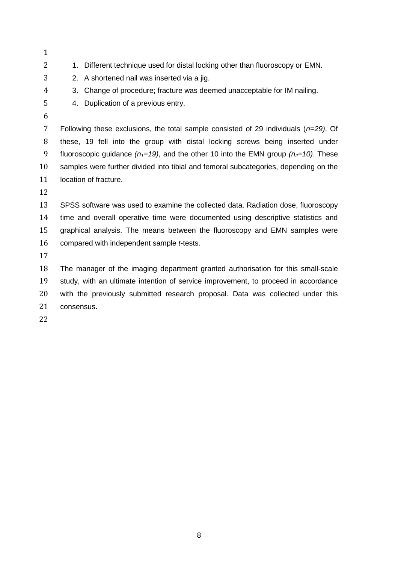- 
- 2 1. Different technique used for distal locking other than fluoroscopy or EMN.
- 2. A shortened nail was inserted via a jig.
- 3. Change of procedure; fracture was deemed unacceptable for IM nailing.
- 4. Duplication of a previous entry.
- 

 Following these exclusions, the total sample consisted of 29 individuals (*n=29)*. Of these, 19 fell into the group with distal locking screws being inserted under 9 fluoroscopic guidance  $(n_1=19)$ , and the other 10 into the EMN group  $(n_2=10)$ . These samples were further divided into tibial and femoral subcategories, depending on the location of fracture.

 SPSS software was used to examine the collected data. Radiation dose, fluoroscopy time and overall operative time were documented using descriptive statistics and graphical analysis. The means between the fluoroscopy and EMN samples were compared with independent sample *t*-tests.

 The manager of the imaging department granted authorisation for this small-scale study, with an ultimate intention of service improvement, to proceed in accordance with the previously submitted research proposal. Data was collected under this consensus.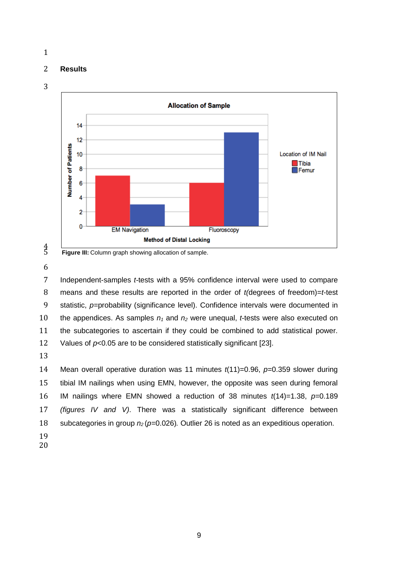#### **Results**



Figure III: Column graph showing allocation of sample.

 Independent-samples *t-*tests with a 95% confidence interval were used to compare means and these results are reported in the order of *t(*degrees of freedom)=*t-*test statistic, *p=*probability (significance level). Confidence intervals were documented in the appendices. As samples *n<sup>1</sup>* and *n<sup>2</sup>* were unequal, *t*-tests were also executed on the subcategories to ascertain if they could be combined to add statistical power. Values of *p<*0.05 are to be considered statistically significant [23].

 Mean overall operative duration was 11 minutes *t*(11)=0.96, *p=*0.359 slower during tibial IM nailings when using EMN, however, the opposite was seen during femoral IM nailings where EMN showed a reduction of 38 minutes *t*(14)=1.38, *p=*0.189 *(figures IV and V)*. There was a statistically significant difference between subcategories in group *n2* (*p=*0.026)*.* Outlier 26 is noted as an expeditious operation.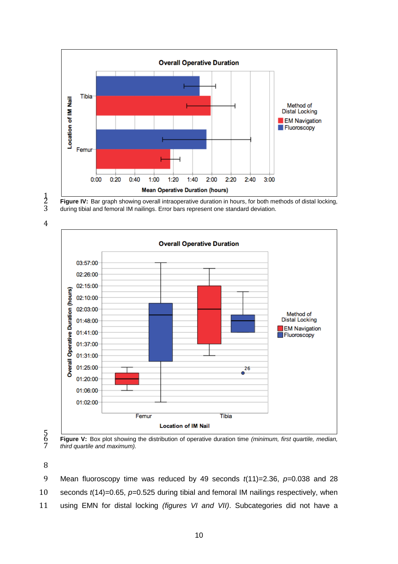



Figure IV: Bar graph showing overall intraoperative duration in hours, for both methods of distal locking, during tibial and femoral IM nailings. Error bars represent one standard deviation.





 **Figure V:** Box plot showing the distribution of operative duration time *(minimum, first quartile, median, third quartile and maximum).*

 Mean fluoroscopy time was reduced by 49 seconds *t*(11)=2.36, *p=*0.038 and 28 seconds *t*(14)=0.65, *p=*0.525 during tibial and femoral IM nailings respectively, when using EMN for distal locking *(figures VI and VII)*. Subcategories did not have a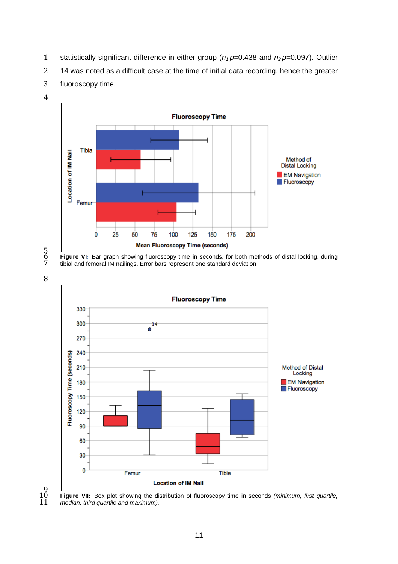statistically significant difference in either group (*n1 p=*0.438 and *n2 p=*0.097). Outlier

14 was noted as a difficult case at the time of initial data recording, hence the greater

fluoroscopy time.





5<br>6<br>7





 $10^{9}$ 

 **Figure VII:** Box plot showing the distribution of fluoroscopy time in seconds *(minimum, first quartile,*  median, third quartile and maximum).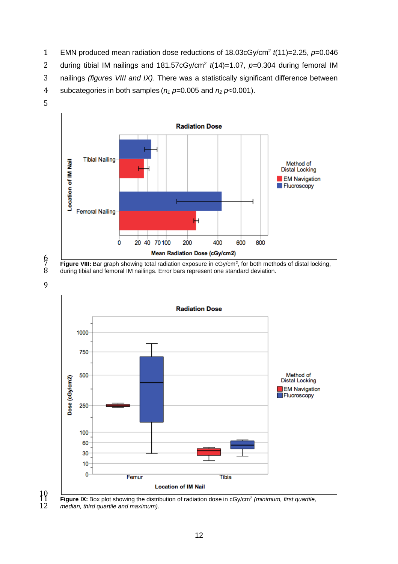- 1 EMN produced mean radiation dose reductions of 18.03cGy/cm<sup>2</sup> t(11)=2.25, p=0.046
- 2 during tibial IM nailings and  $181.57cGy/cm<sup>2</sup> t(14)=1.07$ ,  $p=0.304$  during femoral IM
- 3 nailings *(figures VIII and IX)*. There was a statistically significant difference between
- 4 subcategories in both samples (*n<sup>1</sup> p=*0.005 and *n<sup>2</sup> p*<0.001).
- 5



<sup>6</sup>

**Figure VIII:** Bar graph showing total radiation exposure in cGy/cm<sup>2</sup>, for both methods of distal locking, distal locking, distal locking, distal locking, distal locking, distal locking, distal locking, distal locking, di during tibial and femoral IM nailings. Error bars represent one standard deviation.



 $\frac{10}{12}$ 

Figure IX: Box plot showing the distribution of radiation dose in cGy/cm<sup>2</sup> (minimum, first quartile, median, third quartile and maximum).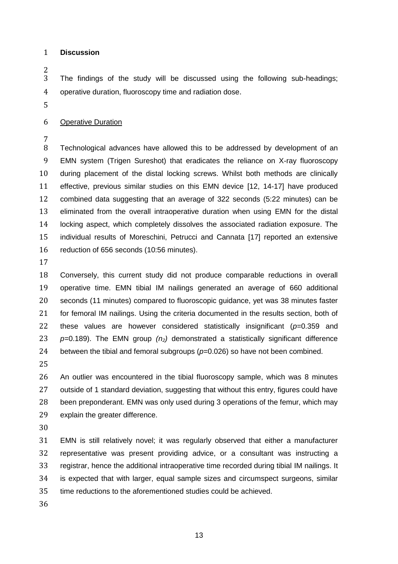#### **Discussion**

 The findings of the study will be discussed using the following sub-headings; operative duration, fluoroscopy time and radiation dose.

#### Operative Duration

 Technological advances have allowed this to be addressed by development of an EMN system (Trigen Sureshot) that eradicates the reliance on X-ray fluoroscopy during placement of the distal locking screws. Whilst both methods are clinically effective, previous similar studies on this EMN device [12, 14-17] have produced combined data suggesting that an average of 322 seconds (5:22 minutes) can be eliminated from the overall intraoperative duration when using EMN for the distal locking aspect, which completely dissolves the associated radiation exposure. The individual results of Moreschini, Petrucci and Cannata [17] reported an extensive reduction of 656 seconds (10:56 minutes).

 Conversely, this current study did not produce comparable reductions in overall operative time. EMN tibial IM nailings generated an average of 660 additional seconds (11 minutes) compared to fluoroscopic guidance, yet was 38 minutes faster 21 for femoral IM nailings. Using the criteria documented in the results section, both of these values are however considered statistically insignificant (*p=*0.359 and *p=*0.189). The EMN group *(n2)* demonstrated a statistically significant difference between the tibial and femoral subgroups (*p=*0.026) so have not been combined.

 An outlier was encountered in the tibial fluoroscopy sample, which was 8 minutes outside of 1 standard deviation, suggesting that without this entry, figures could have been preponderant. EMN was only used during 3 operations of the femur, which may explain the greater difference.

 EMN is still relatively novel; it was regularly observed that either a manufacturer representative was present providing advice, or a consultant was instructing a registrar, hence the additional intraoperative time recorded during tibial IM nailings. It is expected that with larger, equal sample sizes and circumspect surgeons, similar time reductions to the aforementioned studies could be achieved.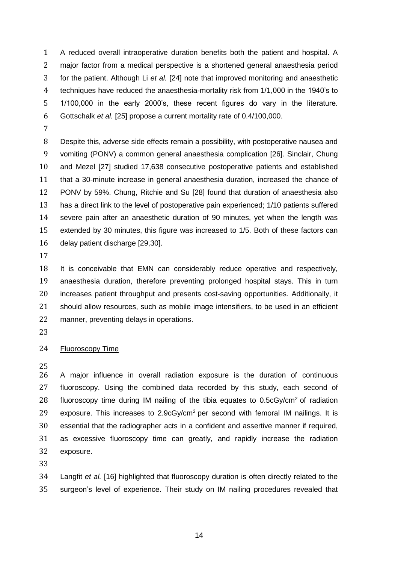A reduced overall intraoperative duration benefits both the patient and hospital. A major factor from a medical perspective is a shortened general anaesthesia period for the patient. Although Li *et al.* [24] note that improved monitoring and anaesthetic techniques have reduced the anaesthesia-mortality risk from 1/1,000 in the 1940's to 1/100,000 in the early 2000's, these recent figures do vary in the literature. Gottschalk *et al.* [25] propose a current mortality rate of 0.4/100,000.

 Despite this, adverse side effects remain a possibility, with postoperative nausea and vomiting (PONV) a common general anaesthesia complication [26]. Sinclair, Chung and Mezel [27] studied 17,638 consecutive postoperative patients and established that a 30-minute increase in general anaesthesia duration, increased the chance of PONV by 59%. Chung, Ritchie and Su [28] found that duration of anaesthesia also has a direct link to the level of postoperative pain experienced; 1/10 patients suffered severe pain after an anaesthetic duration of 90 minutes, yet when the length was extended by 30 minutes, this figure was increased to 1/5. Both of these factors can delay patient discharge [29,30].

 It is conceivable that EMN can considerably reduce operative and respectively, anaesthesia duration, therefore preventing prolonged hospital stays. This in turn increases patient throughput and presents cost-saving opportunities. Additionally, it should allow resources, such as mobile image intensifiers, to be used in an efficient manner, preventing delays in operations.

## Fluoroscopy Time

 A major influence in overall radiation exposure is the duration of continuous fluoroscopy. Using the combined data recorded by this study, each second of 28 fluoroscopy time during IM nailing of the tibia equates to  $0.5cGy/cm<sup>2</sup>$  of radiation 29 exposure. This increases to  $2.9cGy/cm<sup>2</sup>$  per second with femoral IM nailings. It is essential that the radiographer acts in a confident and assertive manner if required, as excessive fluoroscopy time can greatly, and rapidly increase the radiation exposure.

 Langfit *et al.* [16] highlighted that fluoroscopy duration is often directly related to the surgeon's level of experience. Their study on IM nailing procedures revealed that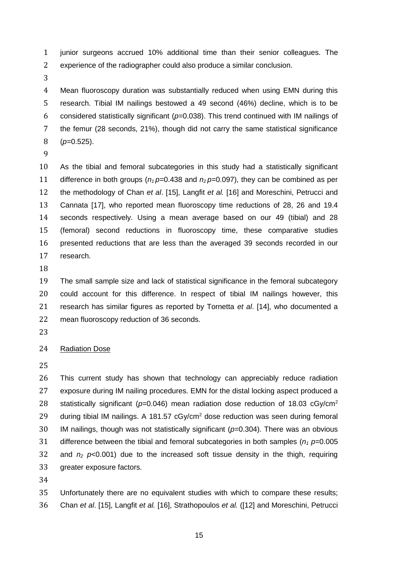junior surgeons accrued 10% additional time than their senior colleagues. The experience of the radiographer could also produce a similar conclusion.

 Mean fluoroscopy duration was substantially reduced when using EMN during this research. Tibial IM nailings bestowed a 49 second (46%) decline, which is to be considered statistically significant (*p=*0.038). This trend continued with IM nailings of the femur (28 seconds, 21%), though did not carry the same statistical significance (*p=*0.525).

 As the tibial and femoral subcategories in this study had a statistically significant 11 difference in both groups  $(n_1 p=0.438$  and  $n_2 p=0.097)$ , they can be combined as per the methodology of Chan *et al*. [15], Langfit *et al.* [16] and Moreschini, Petrucci and Cannata [17], who reported mean fluoroscopy time reductions of 28, 26 and 19.4 seconds respectively. Using a mean average based on our 49 (tibial) and 28 (femoral) second reductions in fluoroscopy time, these comparative studies presented reductions that are less than the averaged 39 seconds recorded in our research.

 The small sample size and lack of statistical significance in the femoral subcategory could account for this difference. In respect of tibial IM nailings however, this research has similar figures as reported by Tornetta *et al*. [14], who documented a mean fluoroscopy reduction of 36 seconds.

## 24 Radiation Dose

 This current study has shown that technology can appreciably reduce radiation exposure during IM nailing procedures. EMN for the distal locking aspect produced a statistically significant (*p=*0.046) mean radiation dose reduction of 18.03 cGy/cm<sup>2</sup> 29 during tibial IM nailings. A 181.57 cGy/cm<sup>2</sup> dose reduction was seen during femoral IM nailings, though was not statistically significant (*p=*0.304). There was an obvious difference between the tibial and femoral subcategories in both samples (*n<sup>1</sup> p=*0.005 32 and  $n_2$   $p<0.001$ ) due to the increased soft tissue density in the thigh, requiring greater exposure factors.

 Unfortunately there are no equivalent studies with which to compare these results; Chan *et al*. [15], Langfit *et al.* [16], Strathopoulos *et al.* ([12] and Moreschini, Petrucci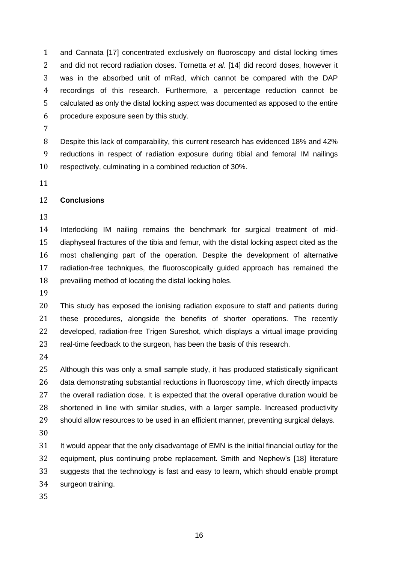and Cannata [17] concentrated exclusively on fluoroscopy and distal locking times and did not record radiation doses. Tornetta *et al*. [14] did record doses, however it was in the absorbed unit of mRad, which cannot be compared with the DAP recordings of this research. Furthermore, a percentage reduction cannot be calculated as only the distal locking aspect was documented as apposed to the entire procedure exposure seen by this study.

 Despite this lack of comparability, this current research has evidenced 18% and 42% reductions in respect of radiation exposure during tibial and femoral IM nailings respectively, culminating in a combined reduction of 30%.

#### **Conclusions**

 Interlocking IM nailing remains the benchmark for surgical treatment of mid- diaphyseal fractures of the tibia and femur, with the distal locking aspect cited as the most challenging part of the operation. Despite the development of alternative radiation-free techniques, the fluoroscopically guided approach has remained the prevailing method of locating the distal locking holes.

 This study has exposed the ionising radiation exposure to staff and patients during these procedures, alongside the benefits of shorter operations. The recently developed, radiation-free Trigen Sureshot, which displays a virtual image providing real-time feedback to the surgeon, has been the basis of this research.

 Although this was only a small sample study, it has produced statistically significant data demonstrating substantial reductions in fluoroscopy time, which directly impacts the overall radiation dose. It is expected that the overall operative duration would be shortened in line with similar studies, with a larger sample. Increased productivity should allow resources to be used in an efficient manner, preventing surgical delays. 

31 It would appear that the only disadvantage of EMN is the initial financial outlay for the equipment, plus continuing probe replacement. Smith and Nephew's [18] literature suggests that the technology is fast and easy to learn, which should enable prompt surgeon training.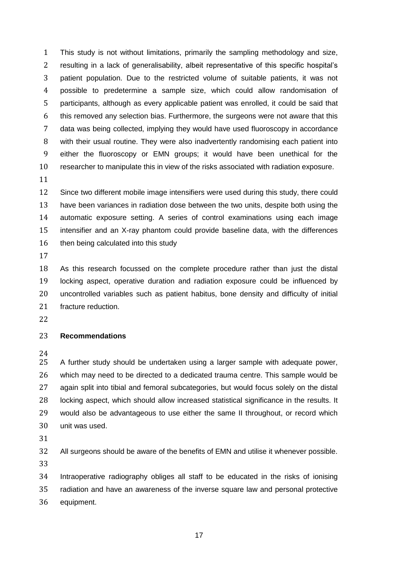This study is not without limitations, primarily the sampling methodology and size, resulting in a lack of generalisability, albeit representative of this specific hospital's patient population. Due to the restricted volume of suitable patients, it was not possible to predetermine a sample size, which could allow randomisation of participants, although as every applicable patient was enrolled, it could be said that this removed any selection bias. Furthermore, the surgeons were not aware that this data was being collected, implying they would have used fluoroscopy in accordance with their usual routine. They were also inadvertently randomising each patient into either the fluoroscopy or EMN groups; it would have been unethical for the researcher to manipulate this in view of the risks associated with radiation exposure.

 Since two different mobile image intensifiers were used during this study, there could have been variances in radiation dose between the two units, despite both using the automatic exposure setting. A series of control examinations using each image intensifier and an X-ray phantom could provide baseline data, with the differences 16 then being calculated into this study

 As this research focussed on the complete procedure rather than just the distal locking aspect, operative duration and radiation exposure could be influenced by uncontrolled variables such as patient habitus, bone density and difficulty of initial fracture reduction.

#### **Recommendations**

 A further study should be undertaken using a larger sample with adequate power, which may need to be directed to a dedicated trauma centre. This sample would be again split into tibial and femoral subcategories, but would focus solely on the distal locking aspect, which should allow increased statistical significance in the results. It would also be advantageous to use either the same II throughout, or record which unit was used.

All surgeons should be aware of the benefits of EMN and utilise it whenever possible.

 Intraoperative radiography obliges all staff to be educated in the risks of ionising radiation and have an awareness of the inverse square law and personal protective equipment.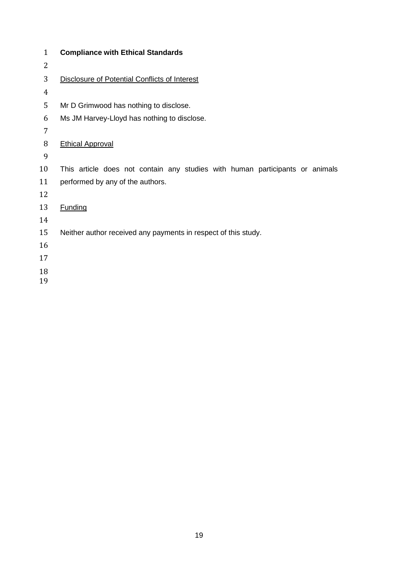| $\mathbf{1}$   | <b>Compliance with Ethical Standards</b>                                     |  |  |  |
|----------------|------------------------------------------------------------------------------|--|--|--|
| 2              |                                                                              |  |  |  |
| 3              | Disclosure of Potential Conflicts of Interest                                |  |  |  |
| $\overline{4}$ |                                                                              |  |  |  |
| 5              | Mr D Grimwood has nothing to disclose.                                       |  |  |  |
| 6              | Ms JM Harvey-Lloyd has nothing to disclose.                                  |  |  |  |
| 7              |                                                                              |  |  |  |
| 8              | <b>Ethical Approval</b>                                                      |  |  |  |
| 9              |                                                                              |  |  |  |
| 10             | This article does not contain any studies with human participants or animals |  |  |  |
| 11             | performed by any of the authors.                                             |  |  |  |
| 12             |                                                                              |  |  |  |
| 13             | <b>Funding</b>                                                               |  |  |  |
| 14             |                                                                              |  |  |  |
| 15             | Neither author received any payments in respect of this study.               |  |  |  |
| 16             |                                                                              |  |  |  |
| 17             |                                                                              |  |  |  |
| 18             |                                                                              |  |  |  |
| 19             |                                                                              |  |  |  |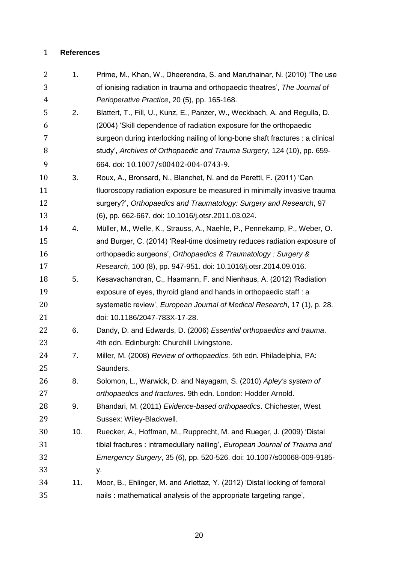### **References**

| 2              | 1.  | Prime, M., Khan, W., Dheerendra, S. and Maruthainar, N. (2010) 'The use       |
|----------------|-----|-------------------------------------------------------------------------------|
| 3              |     | of ionising radiation in trauma and orthopaedic theatres', The Journal of     |
| $\overline{4}$ |     | Perioperative Practice, 20 (5), pp. 165-168.                                  |
| 5              | 2.  | Blattert, T., Fill, U., Kunz, E., Panzer, W., Weckbach, A. and Regulla, D.    |
| 6              |     | (2004) 'Skill dependence of radiation exposure for the orthopaedic            |
| 7              |     | surgeon during interlocking nailing of long-bone shaft fractures : a clinical |
| 8              |     | study', Archives of Orthopaedic and Trauma Surgery, 124 (10), pp. 659-        |
| 9              |     | 664. doi: 10.1007/s00402-004-0743-9.                                          |
| 10             | 3.  | Roux, A., Bronsard, N., Blanchet, N. and de Peretti, F. (2011) 'Can           |
| 11             |     | fluoroscopy radiation exposure be measured in minimally invasive trauma       |
| 12             |     | surgery?', Orthopaedics and Traumatology: Surgery and Research, 97            |
| 13             |     | (6), pp. 662-667. doi: 10.1016/j.otsr.2011.03.024.                            |
| 14             | 4.  | Müller, M., Welle, K., Strauss, A., Naehle, P., Pennekamp, P., Weber, O.      |
| 15             |     | and Burger, C. (2014) 'Real-time dosimetry reduces radiation exposure of      |
| 16             |     | orthopaedic surgeons', Orthopaedics & Traumatology : Surgery &                |
| 17             |     | Research, 100 (8), pp. 947-951. doi: 10.1016/j.otsr.2014.09.016.              |
| 18             | 5.  | Kesavachandran, C., Haamann, F. and Nienhaus, A. (2012) 'Radiation            |
| 19             |     | exposure of eyes, thyroid gland and hands in orthopaedic staff : a            |
| 20             |     | systematic review', European Journal of Medical Research, 17 (1), p. 28.      |
| 21             |     | doi: 10.1186/2047-783X-17-28.                                                 |
| 22             | 6.  | Dandy, D. and Edwards, D. (2006) Essential orthopaedics and trauma.           |
| 23             |     | 4th edn. Edinburgh: Churchill Livingstone.                                    |
| 24             | 7.  | Miller, M. (2008) Review of orthopaedics. 5th edn. Philadelphia, PA:          |
| 25             |     | Saunders.                                                                     |
| 26             | 8.  | Solomon, L., Warwick, D. and Nayagam, S. (2010) Apley's system of             |
| 27             |     | orthopaedics and fractures. 9th edn. London: Hodder Arnold.                   |
| 28             | 9.  | Bhandari, M. (2011) Evidence-based orthopaedics. Chichester, West             |
| 29             |     | Sussex: Wiley-Blackwell.                                                      |
| 30             | 10. | Ruecker, A., Hoffman, M., Rupprecht, M. and Rueger, J. (2009) 'Distal         |
| 31             |     | tibial fractures: intramedullary nailing', European Journal of Trauma and     |
| 32             |     | Emergency Surgery, 35 (6), pp. 520-526. doi: 10.1007/s00068-009-9185-         |
| 33             |     | у.                                                                            |
| 34             | 11. | Moor, B., Ehlinger, M. and Arlettaz, Y. (2012) 'Distal locking of femoral     |
| 35             |     | nails: mathematical analysis of the appropriate targeting range',             |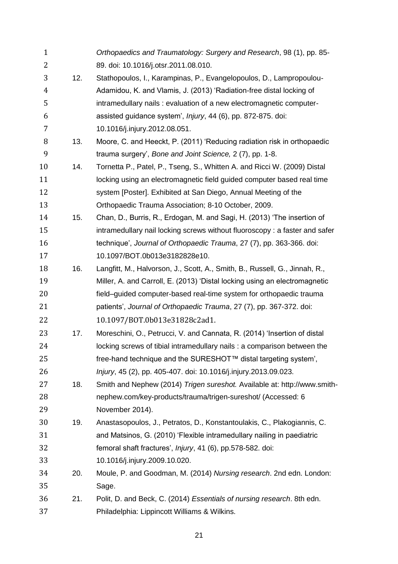| $\mathbf{1}$   |     | Orthopaedics and Traumatology: Surgery and Research, 98 (1), pp. 85-        |
|----------------|-----|-----------------------------------------------------------------------------|
| $\overline{2}$ |     | 89. doi: 10.1016/j.otsr.2011.08.010.                                        |
| 3              | 12. | Stathopoulos, I., Karampinas, P., Evangelopoulos, D., Lampropoulou-         |
| $\overline{4}$ |     | Adamidou, K. and Vlamis, J. (2013) 'Radiation-free distal locking of        |
| 5              |     | intramedullary nails : evaluation of a new electromagnetic computer-        |
| 6              |     | assisted guidance system', Injury, 44 (6), pp. 872-875. doi:                |
| 7              |     | 10.1016/j.injury.2012.08.051.                                               |
| 8              | 13. | Moore, C. and Heeckt, P. (2011) 'Reducing radiation risk in orthopaedic     |
| 9              |     | trauma surgery', Bone and Joint Science, 2 (7), pp. 1-8.                    |
| 10             | 14. | Tornetta P., Patel, P., Tseng, S., Whitten A. and Ricci W. (2009) Distal    |
| 11             |     | locking using an electromagnetic field guided computer based real time      |
| 12             |     | system [Poster]. Exhibited at San Diego, Annual Meeting of the              |
| 13             |     | Orthopaedic Trauma Association; 8-10 October, 2009.                         |
| 14             | 15. | Chan, D., Burris, R., Erdogan, M. and Sagi, H. (2013) 'The insertion of     |
| 15             |     | intramedullary nail locking screws without fluoroscopy: a faster and safer  |
| 16             |     | technique', Journal of Orthopaedic Trauma, 27 (7), pp. 363-366. doi:        |
| 17             |     | 10.1097/BOT.0b013e3182828e10.                                               |
| 18             | 16. | Langfitt, M., Halvorson, J., Scott, A., Smith, B., Russell, G., Jinnah, R., |
| 19             |     | Miller, A. and Carroll, E. (2013) 'Distal locking using an electromagnetic  |
| 20             |     | field-guided computer-based real-time system for orthopaedic trauma         |
| 21             |     | patients', Journal of Orthopaedic Trauma, 27 (7), pp. 367-372. doi:         |
| 22             |     | 10.1097/BOT.0b013e31828c2ad1.                                               |
| 23             | 17. | Moreschini, O., Petrucci, V. and Cannata, R. (2014) 'Insertion of distal    |
| 24             |     | locking screws of tibial intramedullary nails : a comparison between the    |
| 25             |     | free-hand technique and the SURESHOT™ distal targeting system',             |
| 26             |     | Injury, 45 (2), pp. 405-407. doi: 10.1016/j.injury.2013.09.023.             |
| 27             | 18. | Smith and Nephew (2014) Trigen sureshot. Available at: http://www.smith-    |
| 28             |     | nephew.com/key-products/trauma/trigen-sureshot/ (Accessed: 6                |
| 29             |     | November 2014).                                                             |
| 30             | 19. | Anastasopoulos, J., Petratos, D., Konstantoulakis, C., Plakogiannis, C.     |
| 31             |     | and Matsinos, G. (2010) 'Flexible intramedullary nailing in paediatric      |
| 32             |     | femoral shaft fractures', Injury, 41 (6), pp.578-582. doi:                  |
| 33             |     | 10.1016/j.injury.2009.10.020.                                               |
| 34             | 20. | Moule, P. and Goodman, M. (2014) Nursing research. 2nd edn. London:         |
| 35             |     | Sage.                                                                       |
| 36             | 21. | Polit, D. and Beck, C. (2014) Essentials of nursing research. 8th edn.      |
| 37             |     | Philadelphia: Lippincott Williams & Wilkins.                                |